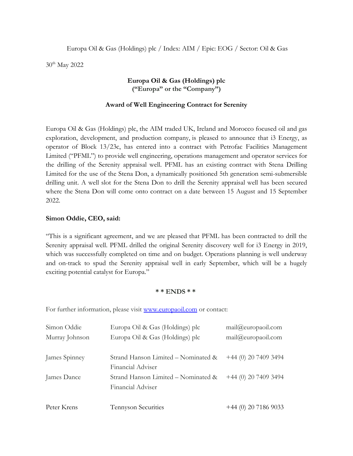Europa Oil & Gas (Holdings) plc / Index: AIM / Epic: EOG / Sector: Oil & Gas

30th May 2022

# **Europa Oil & Gas (Holdings) plc ("Europa" or the "Company")**

## **Award of Well Engineering Contract for Serenity**

Europa Oil & Gas (Holdings) plc, the AIM traded UK, Ireland and Morocco focused oil and gas exploration, development, and production company, is pleased to announce that i3 Energy, as operator of Block 13/23c, has entered into a contract with Petrofac Facilities Management Limited ("PFML") to provide well engineering, operations management and operator services for the drilling of the Serenity appraisal well. PFML has an existing contract with Stena Drilling Limited for the use of the Stena Don, a dynamically positioned 5th generation semi-submersible drilling unit. A well slot for the Stena Don to drill the Serenity appraisal well has been secured where the Stena Don will come onto contract on a date between 15 August and 15 September 2022.

### **Simon Oddie, CEO, said:**

"This is a significant agreement, and we are pleased that PFML has been contracted to drill the Serenity appraisal well. PFML drilled the original Serenity discovery well for i3 Energy in 2019, which was successfully completed on time and on budget. Operations planning is well underway and on-track to spud the Serenity appraisal well in early September, which will be a hugely exciting potential catalyst for Europa."

### **\* \* ENDS \* \***

For further information, please visit [www.europaoil.com](http://www.europaoil.com/) or contact:

| Simon Oddie    | Europa Oil & Gas (Holdings) plc                          | mail@europaoil.com     |
|----------------|----------------------------------------------------------|------------------------|
| Murray Johnson | Europa Oil & Gas (Holdings) plc                          | mail@curopaoil.com     |
| James Spinney  | Strand Hanson Limited – Nominated &<br>Financial Adviser | $+44$ (0) 20 7409 3494 |
| James Dance    | Strand Hanson Limited - Nominated &<br>Financial Adviser | $+44$ (0) 20 7409 3494 |
| Peter Krens    | Tennyson Securities                                      | $+44$ (0) 20 7186 9033 |